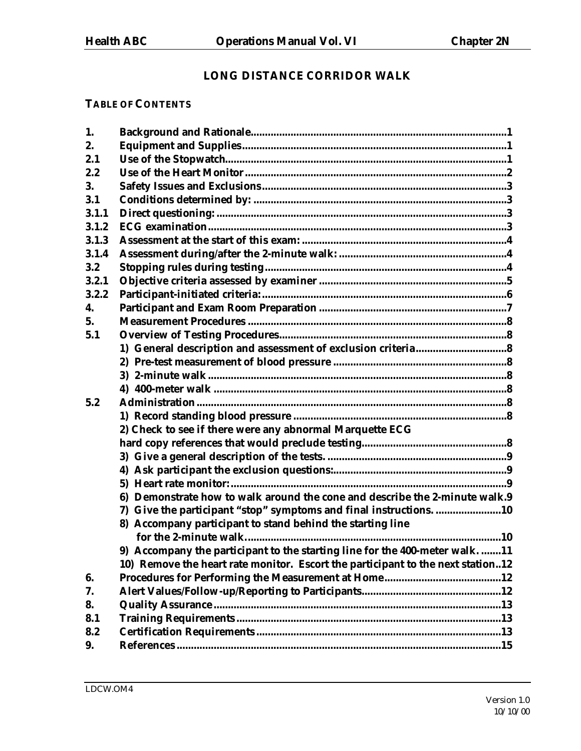# **LONG DISTANCE CORRIDOR WALK**

# **TABLE OF CONTENTS**

| 1.    |                                                                                 |
|-------|---------------------------------------------------------------------------------|
| 2.    |                                                                                 |
| 2.1   |                                                                                 |
| 2.2   |                                                                                 |
| 3.    |                                                                                 |
| 3.1   |                                                                                 |
| 3.1.1 |                                                                                 |
| 3.1.2 |                                                                                 |
| 3.1.3 |                                                                                 |
| 3.1.4 |                                                                                 |
| 3.2   |                                                                                 |
| 3.2.1 |                                                                                 |
| 3.2.2 |                                                                                 |
| 4.    |                                                                                 |
| 5.    |                                                                                 |
| 5.1   |                                                                                 |
|       |                                                                                 |
|       |                                                                                 |
|       |                                                                                 |
|       |                                                                                 |
| 5.2   |                                                                                 |
|       |                                                                                 |
|       | 2) Check to see if there were any abnormal Marquette ECG                        |
|       |                                                                                 |
|       |                                                                                 |
|       |                                                                                 |
|       |                                                                                 |
|       | 6) Demonstrate how to walk around the cone and describe the 2-minute walk.9     |
|       | 7) Give the participant "stop" symptoms and final instructions. 10              |
|       | 8) Accompany participant to stand behind the starting line                      |
|       |                                                                                 |
|       | 9) Accompany the participant to the starting line for the 400-meter walk. 11    |
|       | 10) Remove the heart rate monitor. Escort the participant to the next station12 |
| 6.    |                                                                                 |
| 7.    |                                                                                 |
| 8.    |                                                                                 |
| 8.1   |                                                                                 |
| 8.2   |                                                                                 |
| 9.    |                                                                                 |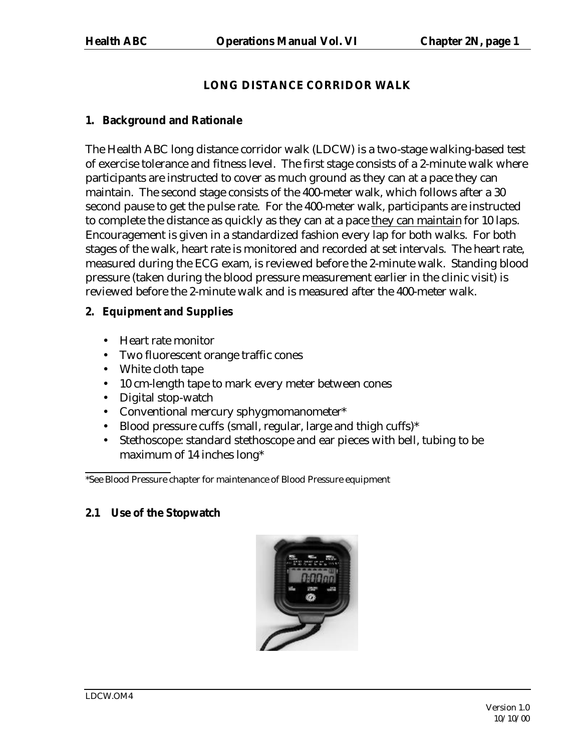# **LONG DISTANCE CORRIDOR WALK**

### **1. Background and Rationale**

The Health ABC long distance corridor walk (LDCW) is a two-stage walking-based test of exercise tolerance and fitness level. The first stage consists of a 2-minute walk where participants are instructed to cover as much ground as they can at a pace they can maintain. The second stage consists of the 400-meter walk, which follows after a 30 second pause to get the pulse rate. For the 400-meter walk, participants are instructed to complete the distance as quickly as they can at a pace they can maintain for 10 laps. Encouragement is given in a standardized fashion every lap for both walks. For both stages of the walk, heart rate is monitored and recorded at set intervals. The heart rate, measured during the ECG exam, is reviewed before the 2-minute walk. Standing blood pressure (taken during the blood pressure measurement earlier in the clinic visit) is reviewed before the 2-minute walk and is measured after the 400-meter walk.

# **2. Equipment and Supplies**

- Heart rate monitor
- Two fluorescent orange traffic cones
- White cloth tape
- 10 cm-length tape to mark every meter between cones
- Digital stop-watch
- Conventional mercury sphygmomanometer\*
- Blood pressure cuffs (small, regular, large and thigh cuffs)\*
- Stethoscope: standard stethoscope and ear pieces with bell, tubing to be maximum of 14 inches long\*

\*See Blood Pressure chapter for maintenance of Blood Pressure equipment

# **2.1 Use of the Stopwatch**

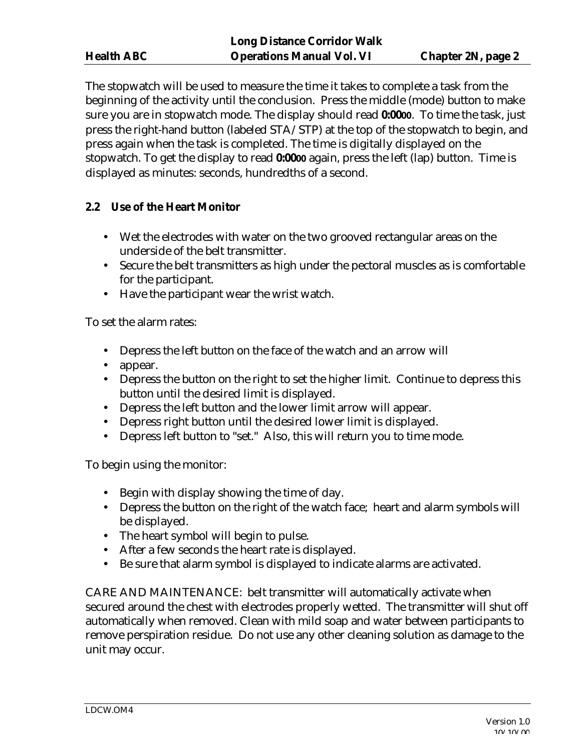The stopwatch will be used to measure the time it takes to complete a task from the beginning of the activity until the conclusion. Press the middle (mode) button to make sure you are in stopwatch mode. The display should read **0:0000**. To time the task, just press the right-hand button (labeled STA/STP) at the top of the stopwatch to begin, and press again when the task is completed. The time is digitally displayed on the stopwatch. To get the display to read **0:0000** again, press the left (lap) button. Time is displayed as minutes: seconds, hundredths of a second.

## **2.2 Use of the Heart Monitor**

- Wet the electrodes with water on the two grooved rectangular areas on the underside of the belt transmitter.
- Secure the belt transmitters as high under the pectoral muscles as is comfortable for the participant.
- Have the participant wear the wrist watch.

To set the alarm rates:

- Depress the left button on the face of the watch and an arrow will
- appear.
- Depress the button on the right to set the higher limit. Continue to depress this button until the desired limit is displayed.
- Depress the left button and the lower limit arrow will appear.
- Depress right button until the desired lower limit is displayed.
- Depress left button to "set." Also, this will return you to time mode.

To begin using the monitor:

- Begin with display showing the time of day.
- Depress the button on the right of the watch face; heart and alarm symbols will be displayed.
- The heart symbol will begin to pulse.
- After a few seconds the heart rate is displayed.
- Be sure that alarm symbol is displayed to indicate alarms are activated.

CARE AND MAINTENANCE: belt transmitter will automatically activate when secured around the chest with electrodes properly wetted. The transmitter will shut off automatically when removed. Clean with mild soap and water between participants to remove perspiration residue. Do not use any other cleaning solution as damage to the unit may occur.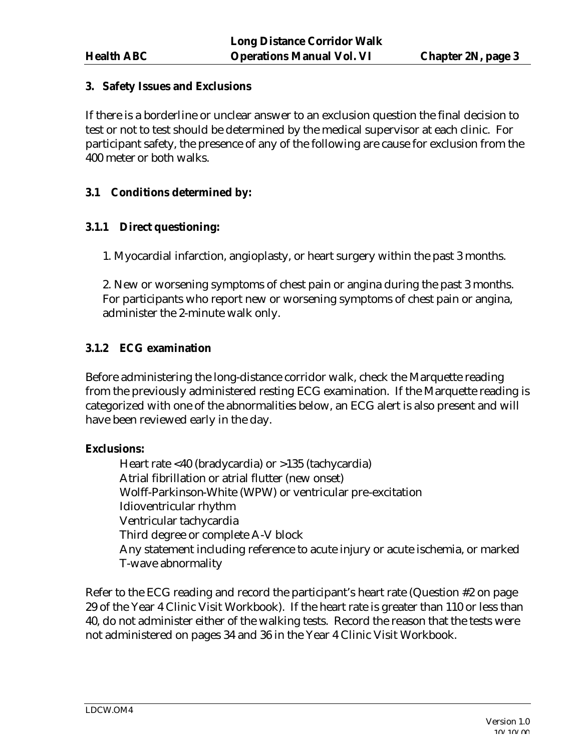### **3. Safety Issues and Exclusions**

If there is a borderline or unclear answer to an exclusion question the final decision to test or not to test should be determined by the medical supervisor at each clinic. For participant safety, the presence of any of the following are cause for exclusion from the 400 meter or both walks.

## **3.1 Conditions determined by:**

## **3.1.1 Direct questioning:**

1. Myocardial infarction, angioplasty, or heart surgery within the past 3 months.

2. New or worsening symptoms of chest pain or angina during the past 3 months. For participants who report new or worsening symptoms of chest pain or angina, administer the 2-minute walk only.

## **3.1.2 ECG examination**

Before administering the long-distance corridor walk, check the Marquette reading from the previously administered resting ECG examination. If the Marquette reading is categorized with one of the abnormalities below, an ECG alert is also present and will have been reviewed early in the day.

### **Exclusions:**

Heart rate <40 (bradycardia) or >135 (tachycardia) Atrial fibrillation or atrial flutter (new onset) Wolff-Parkinson-White (WPW) or ventricular pre-excitation Idioventricular rhythm Ventricular tachycardia Third degree or complete A-V block Any statement including reference to acute injury or acute ischemia, or marked T-wave abnormality

Refer to the ECG reading and record the participant's heart rate (Question #2 on page 29 of the Year 4 Clinic Visit Workbook). If the heart rate is greater than 110 or less than 40, do not administer either of the walking tests. Record the reason that the tests were not administered on pages 34 and 36 in the Year 4 Clinic Visit Workbook.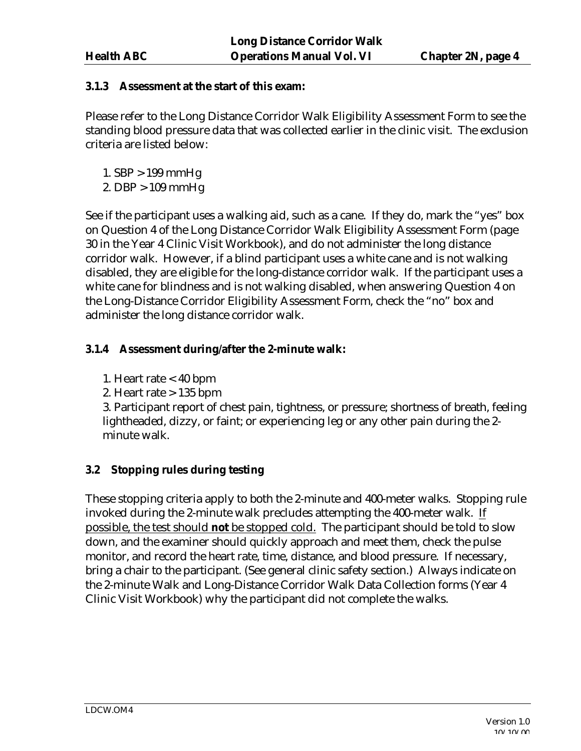### **3.1.3 Assessment at the start of this exam:**

Please refer to the Long Distance Corridor Walk Eligibility Assessment Form to see the standing blood pressure data that was collected earlier in the clinic visit. The exclusion criteria are listed below:

- 1. SBP > 199 mmHg
- 2. DBP > 109 mmHg

See if the participant uses a walking aid, such as a cane. If they do, mark the "yes" box on Question 4 of the Long Distance Corridor Walk Eligibility Assessment Form (page 30 in the Year 4 Clinic Visit Workbook), and do not administer the long distance corridor walk. However, if a blind participant uses a white cane and is not walking disabled, they are eligible for the long-distance corridor walk. If the participant uses a white cane for blindness and is not walking disabled, when answering Question 4 on the Long-Distance Corridor Eligibility Assessment Form, check the "no" box and administer the long distance corridor walk.

# **3.1.4 Assessment during/after the 2-minute walk:**

- 1. Heart rate < 40 bpm
- 2. Heart rate  $> 135$  bpm

3. Participant report of chest pain, tightness, or pressure; shortness of breath, feeling lightheaded, dizzy, or faint; or experiencing leg or any other pain during the 2 minute walk.

# **3.2 Stopping rules during testing**

These stopping criteria apply to both the 2-minute and 400-meter walks. Stopping rule invoked during the 2-minute walk precludes attempting the 400-meter walk. If possible, the test should **not** be stopped cold. The participant should be told to slow down, and the examiner should quickly approach and meet them, check the pulse monitor, and record the heart rate, time, distance, and blood pressure. If necessary, bring a chair to the participant. (See general clinic safety section.) Always indicate on the 2-minute Walk and Long-Distance Corridor Walk Data Collection forms (Year 4 Clinic Visit Workbook) why the participant did not complete the walks.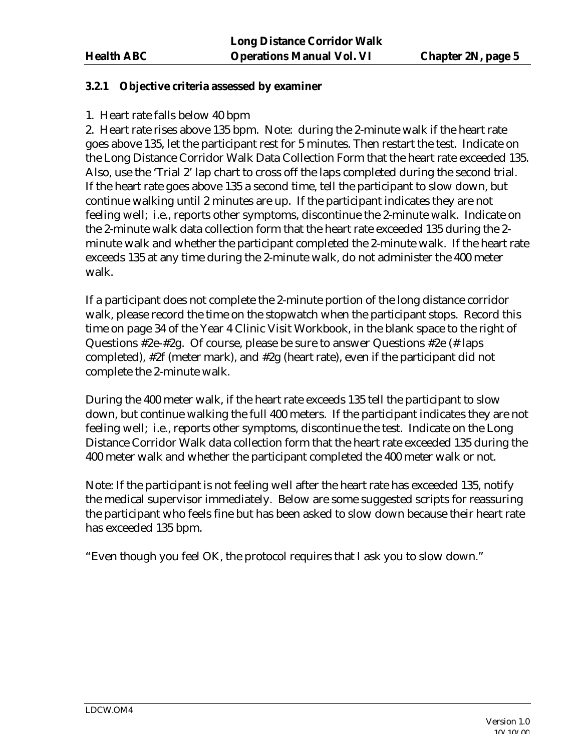### **3.2.1 Objective criteria assessed by examiner**

### 1. Heart rate falls below 40 bpm

2. Heart rate rises above 135 bpm. Note: during the 2-minute walk if the heart rate goes above 135, let the participant rest for 5 minutes. Then restart the test. Indicate on the Long Distance Corridor Walk Data Collection Form that the heart rate exceeded 135. Also, use the 'Trial 2' lap chart to cross off the laps completed during the second trial. If the heart rate goes above 135 a second time, tell the participant to slow down, but continue walking until 2 minutes are up. If the participant indicates they are not feeling well; i.e., reports other symptoms, discontinue the 2-minute walk. Indicate on the 2-minute walk data collection form that the heart rate exceeded 135 during the 2 minute walk and whether the participant completed the 2-minute walk. If the heart rate exceeds 135 at any time during the 2-minute walk, do not administer the 400 meter walk.

If a participant does not complete the 2-minute portion of the long distance corridor walk, please record the time on the stopwatch when the participant stops. Record this time on page 34 of the Year 4 Clinic Visit Workbook, in the blank space to the right of Questions #2e-#2g. Of course, please be sure to answer Questions #2e (# laps completed), #2f (meter mark), and #2g (heart rate), even if the participant did not complete the 2-minute walk.

During the 400 meter walk, if the heart rate exceeds 135 tell the participant to slow down, but continue walking the full 400 meters. If the participant indicates they are not feeling well; i.e., reports other symptoms, discontinue the test. Indicate on the Long Distance Corridor Walk data collection form that the heart rate exceeded 135 during the 400 meter walk and whether the participant completed the 400 meter walk or not.

Note: If the participant is not feeling well after the heart rate has exceeded 135, notify the medical supervisor immediately. Below are some suggested scripts for reassuring the participant who feels fine but has been asked to slow down because their heart rate has exceeded 135 bpm.

"Even though you feel OK, the protocol requires that I ask you to slow down."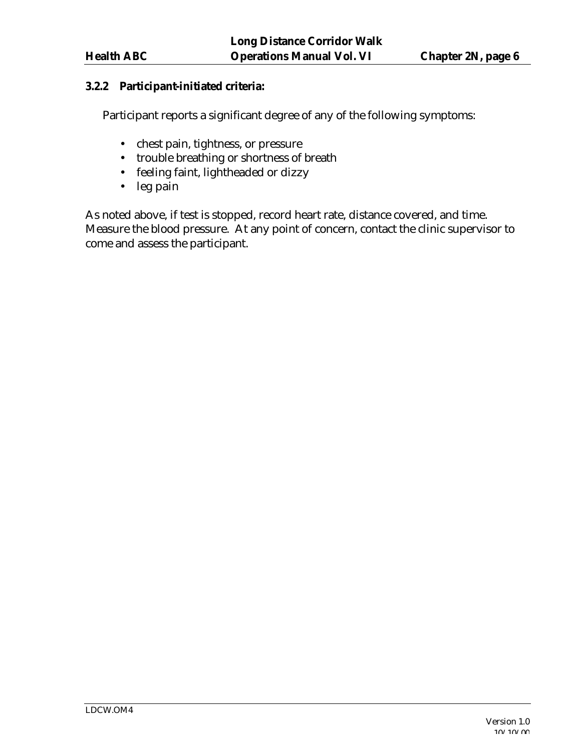### **3.2.2 Participant-initiated criteria:**

Participant reports a significant degree of any of the following symptoms:

- chest pain, tightness, or pressure
- trouble breathing or shortness of breath
- feeling faint, lightheaded or dizzy
- leg pain

As noted above, if test is stopped, record heart rate, distance covered, and time. Measure the blood pressure. At any point of concern, contact the clinic supervisor to come and assess the participant.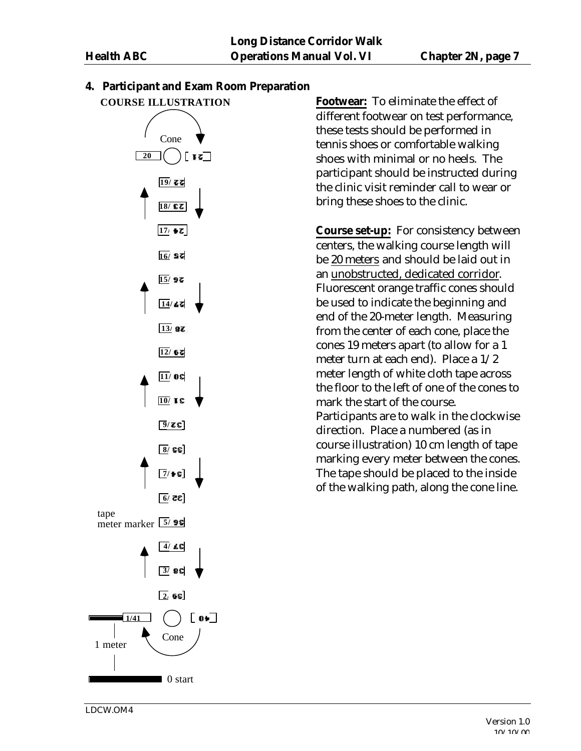

**4. Participant and Exam Room Preparation**

**Footwear:** To eliminate the effect of different footwear on test performance, these tests should be performed in tennis shoes or comfortable walking shoes with minimal or no heels. The participant should be instructed during the clinic visit reminder call to wear or bring these shoes to the clinic.

**Course set-up:** For consistency between centers, the walking course length will be 20 meters and should be laid out in an unobstructed, dedicated corridor. Fluorescent orange traffic cones should be used to indicate the beginning and end of the 20-meter length. Measuring from the center of each cone, place the cones 19 meters apart (to allow for a 1 meter turn at each end). Place a 1/2 meter length of white cloth tape across the floor to the left of one of the cones to mark the start of the course. Participants are to walk in the clockwise direction. Place a numbered (as in course illustration) 10 cm length of tape marking every meter between the cones. The tape should be placed to the inside of the walking path, along the cone line.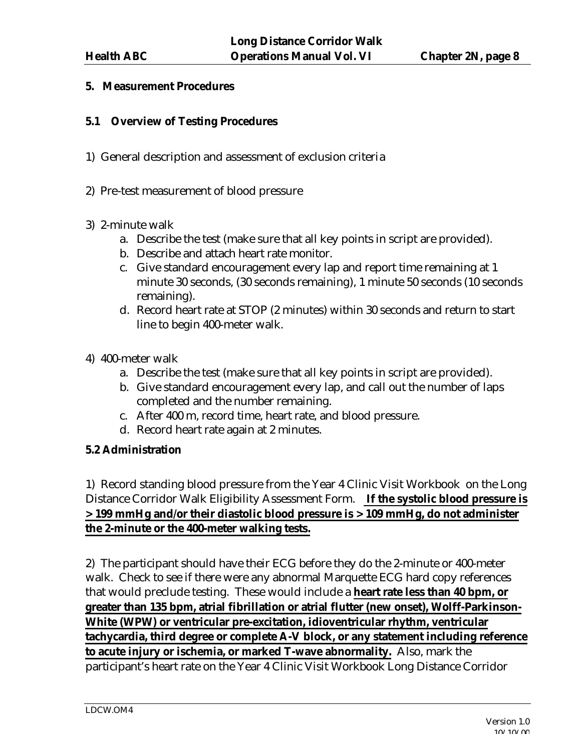### **5. Measurement Procedures**

### **5.1 Overview of Testing Procedures**

- 1) General description and assessment of exclusion criteria
- 2) Pre-test measurement of blood pressure
- 3) 2-minute walk
	- a. Describe the test (make sure that all key points in script are provided).
	- b. Describe and attach heart rate monitor.
	- c. Give standard encouragement every lap and report time remaining at 1 minute 30 seconds, (30 seconds remaining), 1 minute 50 seconds (10 seconds remaining).
	- d. Record heart rate at STOP (2 minutes) within 30 seconds and return to start line to begin 400-meter walk.
- 4) 400-meter walk
	- a. Describe the test (make sure that all key points in script are provided).
	- b. Give standard encouragement every lap, and call out the number of laps completed and the number remaining.
	- c. After 400 m, record time, heart rate, and blood pressure.
	- d. Record heart rate again at 2 minutes.

### **5.2 Administration**

1) Record standing blood pressure from the Year 4 Clinic Visit Workbook on the Long Distance Corridor Walk Eligibility Assessment Form. **If the systolic blood pressure is > 199 mmHg and/or their diastolic blood pressure is > 109 mmHg, do not administer the 2-minute or the 400-meter walking tests.** 

2) The participant should have their ECG before they do the 2-minute or 400-meter walk. Check to see if there were any abnormal Marquette ECG hard copy references that would preclude testing. These would include a **heart rate less than 40 bpm, or greater than 135 bpm, atrial fibrillation or atrial flutter (new onset), Wolff-Parkinson-White (WPW) or ventricular pre-excitation, idioventricular rhythm, ventricular tachycardia, third degree or complete A-V block, or any statement including reference to acute injury or ischemia, or marked T-wave abnormality.** Also, mark the participant's heart rate on the Year 4 Clinic Visit Workbook Long Distance Corridor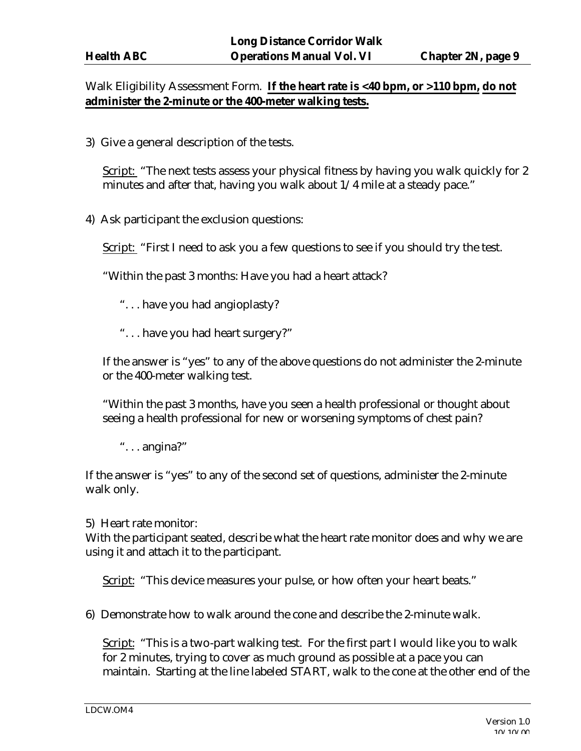# Walk Eligibility Assessment Form. **If the heart rate is <40 bpm, or >110 bpm, do not administer the 2-minute or the 400-meter walking tests.**

3) Give a general description of the tests.

Script: "The next tests assess your physical fitness by having you walk quickly for 2 minutes and after that, having you walk about 1/4 mile at a steady pace."

4) Ask participant the exclusion questions:

Script: "First I need to ask you a few questions to see if you should try the test.

"Within the past 3 months: Have you had a heart attack?

- ". . . have you had angioplasty?
- ". . . have you had heart surgery?"

If the answer is "yes" to any of the above questions do not administer the 2-minute or the 400-meter walking test.

"Within the past 3 months, have you seen a health professional or thought about seeing a health professional for new or worsening symptoms of chest pain?

". . . angina?"

If the answer is "yes" to any of the second set of questions, administer the 2-minute walk only.

5) Heart rate monitor:

With the participant seated, describe what the heart rate monitor does and why we are using it and attach it to the participant.

Script: "This device measures your pulse, or how often your heart beats."

6) Demonstrate how to walk around the cone and describe the 2-minute walk.

Script: "This is a two-part walking test. For the first part I would like you to walk for 2 minutes, trying to cover as much ground as possible at a pace you can maintain.Starting at the line labeled START, walk to the cone at the other end of the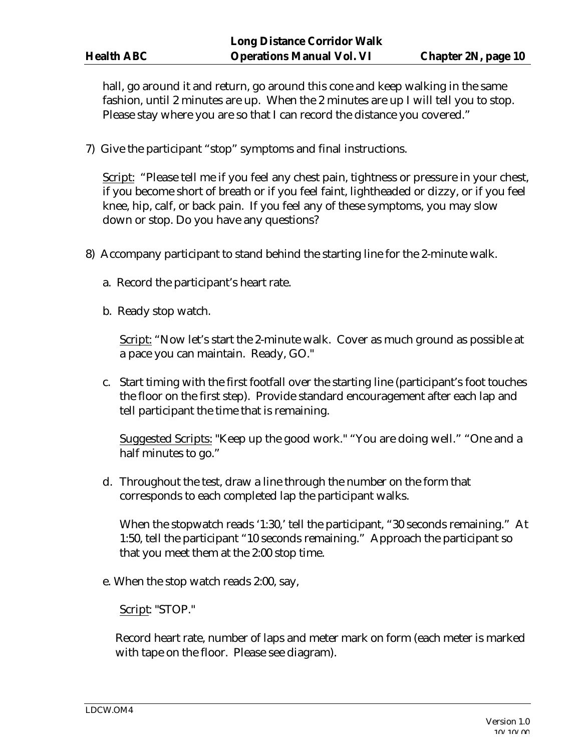hall, go around it and return, go around this cone and keep walking in the same fashion, until 2 minutes are up. When the 2 minutes are up I will tell you to stop. Please stay where you are so that I can record the distance you covered."

7) Give the participant "stop" symptoms and final instructions.

Script: "Please tell me if you feel any chest pain, tightness or pressure in your chest, if you become short of breath or if you feel faint, lightheaded or dizzy, or if you feel knee, hip, calf, or back pain. If you feel any of these symptoms, you may slow down or stop. Do you have any questions?

- 8) Accompany participant to stand behind the starting line for the 2-minute walk.
	- a. Record the participant's heart rate.
	- b. Ready stop watch.

Script: "Now let's start the 2-minute walk. Cover as much ground as possible at a pace you can maintain. Ready, GO."

c. Start timing with the first footfall over the starting line (participant's foot touches the floor on the first step). Provide standard encouragement after each lap and tell participant the time that is remaining.

Suggested Scripts: "Keep up the good work." "You are doing well." "One and a half minutes to go."

d. Throughout the test, draw a line through the number on the form that corresponds to each completed lap the participant walks.

When the stopwatch reads '1:30,' tell the participant, "30 seconds remaining." At 1:50, tell the participant "10 seconds remaining." Approach the participant so that you meet them at the 2:00 stop time.

e. When the stop watch reads 2:00, say,

Script: "STOP."

Record heart rate, number of laps and meter mark on form (each meter is marked with tape on the floor. Please see diagram).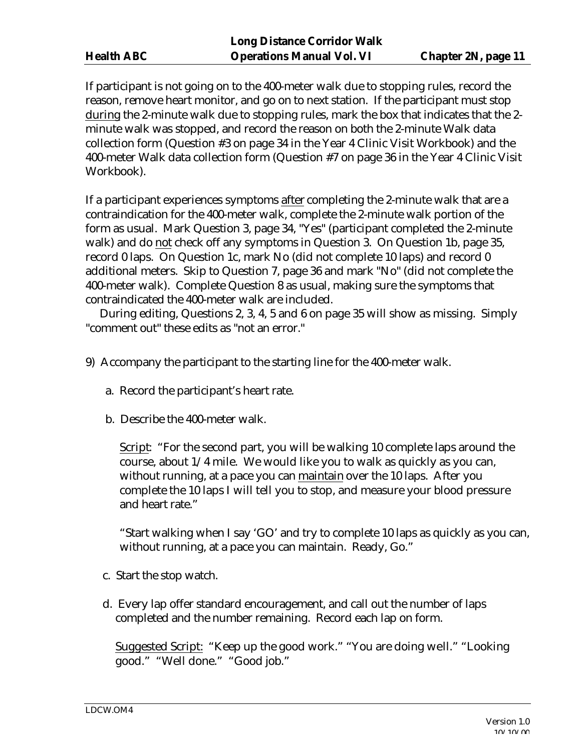If participant is not going on to the 400-meter walk due to stopping rules, record the reason, remove heart monitor, and go on to next station. If the participant must stop during the 2-minute walk due to stopping rules, mark the box that indicates that the 2 minute walk was stopped, and record the reason on both the 2-minute Walk data collection form (Question #3 on page 34 in the Year 4 Clinic Visit Workbook) and the 400-meter Walk data collection form (Question #7 on page 36 in the Year 4 Clinic Visit Workbook).

If a participant experiences symptoms after completing the 2-minute walk that are a contraindication for the 400-meter walk, complete the 2-minute walk portion of the form as usual. Mark Question 3, page 34, "Yes" (participant completed the 2-minute walk) and do not check off any symptoms in Question 3. On Question 1b, page 35, record 0 laps. On Question 1c, mark No (did not complete 10 laps) and record 0 additional meters. Skip to Question 7, page 36 and mark "No" (did not complete the 400-meter walk). Complete Question 8 as usual, making sure the symptoms that contraindicated the 400-meter walk are included.

 During editing, Questions 2, 3, 4, 5 and 6 on page 35 will show as missing. Simply "comment out" these edits as "not an error."

- 9) Accompany the participant to the starting line for the 400-meter walk.
	- a. Record the participant's heart rate.
	- b. Describe the 400-meter walk.

Script: "For the second part, you will be walking 10 complete laps around the course, about 1/4 mile. We would like you to walk as quickly as you can, without running, at a pace you can maintain over the 10 laps. After you complete the 10 laps I will tell you to stop, and measure your blood pressure and heart rate."

"Start walking when I say 'GO' and try to complete 10 laps as quickly as you can, without running, at a pace you can maintain. Ready, Go."

- c. Start the stop watch.
- d. Every lap offer standard encouragement, and call out the number of laps completed and the number remaining. Record each lap on form.

Suggested Script: "Keep up the good work." "You are doing well." "Looking good." "Well done." "Good job."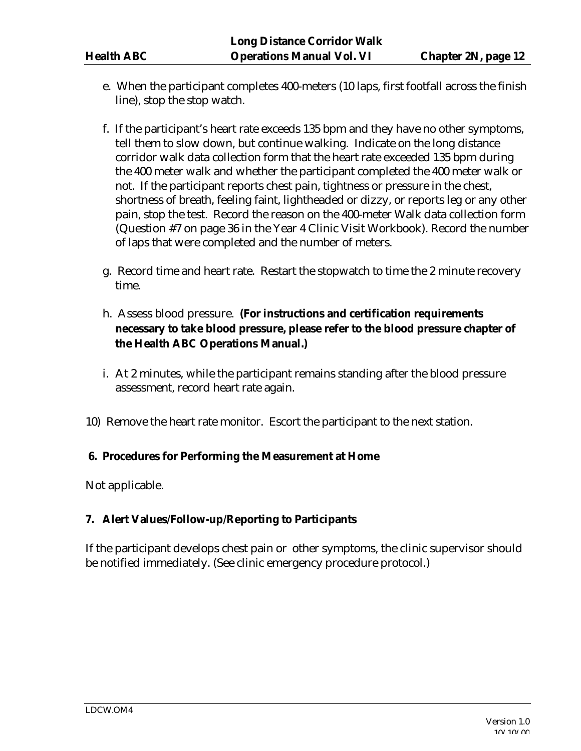- e. When the participant completes 400-meters (10 laps, first footfall across the finish line), stop the stop watch.
- f. If the participant's heart rate exceeds 135 bpm and they have no other symptoms, tell them to slow down, but continue walking. Indicate on the long distance corridor walk data collection form that the heart rate exceeded 135 bpm during the 400 meter walk and whether the participant completed the 400 meter walk or not. If the participant reports chest pain, tightness or pressure in the chest, shortness of breath, feeling faint, lightheaded or dizzy, or reports leg or any other pain, stop the test. Record the reason on the 400-meter Walk data collection form (Question #7 on page 36 in the Year 4 Clinic Visit Workbook). Record the number of laps that were completed and the number of meters.
- g. Record time and heart rate. Restart the stopwatch to time the 2 minute recovery time.
- h. Assess blood pressure. **(For instructions and certification requirements necessary to take blood pressure, please refer to the blood pressure chapter of the Health ABC Operations Manual.)**
- i. At 2 minutes, while the participant remains standing after the blood pressure assessment, record heart rate again.
- 10) Remove the heart rate monitor. Escort the participant to the next station.

### **6. Procedures for Performing the Measurement at Home**

Not applicable.

# **7. Alert Values/Follow-up/Reporting to Participants**

If the participant develops chest pain or other symptoms, the clinic supervisor should be notified immediately. (See clinic emergency procedure protocol.)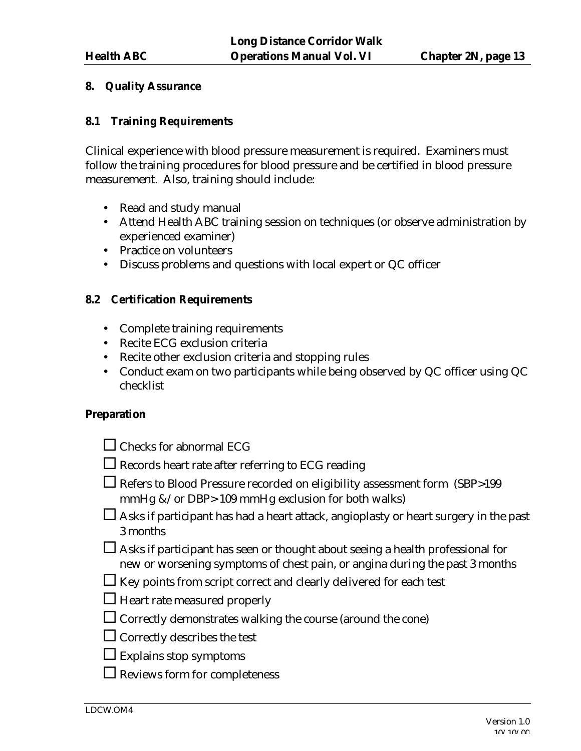#### **8. Quality Assurance**

#### **8.1 Training Requirements**

Clinical experience with blood pressure measurement is required. Examiners must follow the training procedures for blood pressure and be certified in blood pressure measurement. Also, training should include:

- Read and study manual
- Attend Health ABC training session on techniques (or observe administration by experienced examiner)
- Practice on volunteers
- Discuss problems and questions with local expert or QC officer

#### **8.2 Certification Requirements**

- Complete training requirements
- Recite ECG exclusion criteria
- Recite other exclusion criteria and stopping rules
- Conduct exam on two participants while being observed by QC officer using QC checklist

#### **Preparation**

| $\Box$ Checks for abnormal ECG                                                                                                                                       |
|----------------------------------------------------------------------------------------------------------------------------------------------------------------------|
| $\Box$ Records heart rate after referring to ECG reading                                                                                                             |
| $\Box$ Refers to Blood Pressure recorded on eligibility assessment form (SBP>199<br>mmHg &/or DBP> 109 mmHg exclusion for both walks)                                |
| Asks if participant has had a heart attack, angioplasty or heart surgery in the past<br>3 months                                                                     |
| $\Box$ Asks if participant has seen or thought about seeing a health professional for<br>new or worsening symptoms of chest pain, or angina during the past 3 months |
| $\Box$ Key points from script correct and clearly delivered for each test                                                                                            |
| $\Box$ Heart rate measured properly                                                                                                                                  |
| $\Box$ Correctly demonstrates walking the course (around the cone)                                                                                                   |
| $\Box$ Correctly describes the test                                                                                                                                  |
| $\Box$ Explains stop symptoms                                                                                                                                        |
| $\Box$ Reviews form for completeness                                                                                                                                 |
|                                                                                                                                                                      |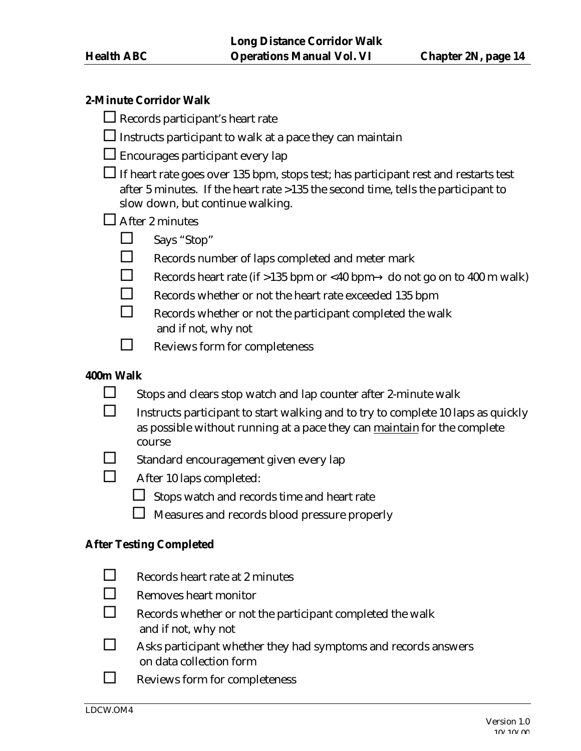#### **2-Minute Corridor Walk**

|  |  | $\Box$ Records participant's heart rate |  |
|--|--|-----------------------------------------|--|
|--|--|-----------------------------------------|--|

 $\square$  Instructs participant to walk at a pace they can maintain

 $\square$  Encourages participant every lap

If heart rate goes over 135 bpm, stops test; has participant rest and restarts test after 5 minutes. If the heart rate >135 the second time, tells the participant to slow down, but continue walking.

 $\square$  After 2 minutes

- $\Box$  Says "Stop"
- $\Box$  Records number of laps completed and meter mark
- Records heart rate (if >135 bpm or <40 bpm  $\rightarrow$  do not go on to 400 m walk)
	- ® Records whether or not the heart rate exceeded 135 bpm
	- Records whether or not the participant completed the walk and if not, why not
- $\Box$  Reviews form for completeness

### **400m Walk**

- $\square$  Stops and clears stop watch and lap counter after 2-minute walk
- $\Box$  Instructs participant to start walking and to try to complete 10 laps as quickly as possible without running at a pace they can maintain for the complete course
- $\square$  Standard encouragement given every lap
- $\Box$  After 10 laps completed:
	- $\Box$  Stops watch and records time and heart rate
	- $\Box$  Measures and records blood pressure properly

#### **After Testing Completed**

- $\Box$  Records heart rate at 2 minutes  $\Box$  Removes heart monitor  $\Box$  Records whether or not the participant completed the walk and if not, why not  $\Box$  Asks participant whether they had symptoms and records answers on data collection form
- $\Box$  Reviews form for completeness